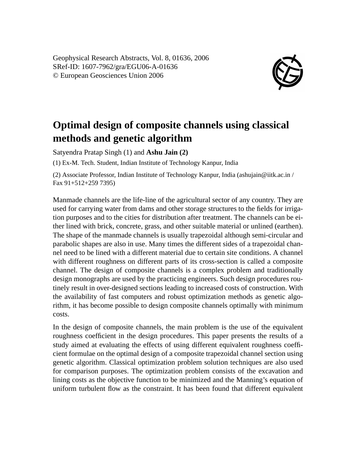Geophysical Research Abstracts, Vol. 8, 01636, 2006 SRef-ID: 1607-7962/gra/EGU06-A-01636 © European Geosciences Union 2006



## **Optimal design of composite channels using classical methods and genetic algorithm**

Satyendra Pratap Singh (1) and **Ashu Jain (2)**

(1) Ex-M. Tech. Student, Indian Institute of Technology Kanpur, India

(2) Associate Professor, Indian Institute of Technology Kanpur, India (ashujain@iitk.ac.in / Fax 91+512+259 7395)

Manmade channels are the life-line of the agricultural sector of any country. They are used for carrying water from dams and other storage structures to the fields for irrigation purposes and to the cities for distribution after treatment. The channels can be either lined with brick, concrete, grass, and other suitable material or unlined (earthen). The shape of the manmade channels is usually trapezoidal although semi-circular and parabolic shapes are also in use. Many times the different sides of a trapezoidal channel need to be lined with a different material due to certain site conditions. A channel with different roughness on different parts of its cross-section is called a composite channel. The design of composite channels is a complex problem and traditionally design monographs are used by the practicing engineers. Such design procedures routinely result in over-designed sections leading to increased costs of construction. With the availability of fast computers and robust optimization methods as genetic algorithm, it has become possible to design composite channels optimally with minimum costs.

In the design of composite channels, the main problem is the use of the equivalent roughness coefficient in the design procedures. This paper presents the results of a study aimed at evaluating the effects of using different equivalent roughness coefficient formulae on the optimal design of a composite trapezoidal channel section using genetic algorithm. Classical optimization problem solution techniques are also used for comparison purposes. The optimization problem consists of the excavation and lining costs as the objective function to be minimized and the Manning's equation of uniform turbulent flow as the constraint. It has been found that different equivalent